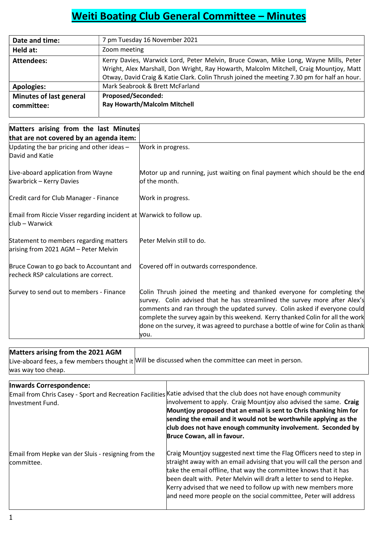# Weiti Boating Club General Committee – Minutes

| Date and time:                               | 7 pm Tuesday 16 November 2021                                                                                                                                                                                                                                                 |
|----------------------------------------------|-------------------------------------------------------------------------------------------------------------------------------------------------------------------------------------------------------------------------------------------------------------------------------|
| Held at:                                     | Zoom meeting                                                                                                                                                                                                                                                                  |
| <b>Attendees:</b>                            | Kerry Davies, Warwick Lord, Peter Melvin, Bruce Cowan, Mike Long, Wayne Mills, Peter<br>Wright, Alex Marshall, Don Wright, Ray Howarth, Malcolm Mitchell, Craig Mountjoy, Matt<br>Otway, David Craig & Katie Clark. Colin Thrush joined the meeting 7.30 pm for half an hour. |
| <b>Apologies:</b>                            | Mark Seabrook & Brett McFarland                                                                                                                                                                                                                                               |
| <b>Minutes of last general</b><br>committee: | <b>Proposed/Seconded:</b><br><b>Ray Howarth/Malcolm Mitchell</b>                                                                                                                                                                                                              |

| Matters arising from the last Minutes                                                  |                                                                                                                                                                                                                                                                                                                                                                                                                     |
|----------------------------------------------------------------------------------------|---------------------------------------------------------------------------------------------------------------------------------------------------------------------------------------------------------------------------------------------------------------------------------------------------------------------------------------------------------------------------------------------------------------------|
| that are not covered by an agenda item:                                                |                                                                                                                                                                                                                                                                                                                                                                                                                     |
| Updating the bar pricing and other ideas $-$<br>David and Katie                        | Work in progress.                                                                                                                                                                                                                                                                                                                                                                                                   |
| Live-aboard application from Wayne<br>Swarbrick - Kerry Davies                         | Motor up and running, just waiting on final payment which should be the end<br>of the month.                                                                                                                                                                                                                                                                                                                        |
| Credit card for Club Manager - Finance                                                 | Work in progress.                                                                                                                                                                                                                                                                                                                                                                                                   |
| Email from Riccie Visser regarding incident at Marwick to follow up.<br>club – Warwick |                                                                                                                                                                                                                                                                                                                                                                                                                     |
| Statement to members regarding matters<br>arising from 2021 AGM - Peter Melvin         | Peter Melvin still to do.                                                                                                                                                                                                                                                                                                                                                                                           |
| Bruce Cowan to go back to Accountant and<br>recheck RSP calculations are correct.      | Covered off in outwards correspondence.                                                                                                                                                                                                                                                                                                                                                                             |
| Survey to send out to members - Finance                                                | Colin Thrush joined the meeting and thanked everyone for completing the<br>survey. Colin advised that he has streamlined the survey more after Alex's<br>comments and ran through the updated survey. Colin asked if everyone could<br>complete the survey again by this weekend. Kerry thanked Colin for all the work<br>done on the survey, it was agreed to purchase a bottle of wine for Colin as thank<br>you. |

# Matters arising from the 2021 AGM Live-aboard fees, a few members thought it Will be discussed when the committee can meet in person. was way too cheap. Inwards Correspondence: Email from Chris Casey - Sport and Recreation Facilities Katie advised that the club does not have enough community Investment Fund. Email from Hepke van der Sluis - resigning from the committee. involvement to apply. Craig Mountjoy also advised the same. Craig Mountjoy proposed that an email is sent to Chris thanking him for sending the email and it would not be worthwhile applying as the club does not have enough community involvement. Seconded by Bruce Cowan, all in favour. Craig Mountjoy suggested next time the Flag Officers need to step in straight away with an email advising that you will call the person and take the email offline, that way the committee knows that it has been dealt with. Peter Melvin will draft a letter to send to Hepke.

Kerry advised that we need to follow up with new members more and need more people on the social committee, Peter will address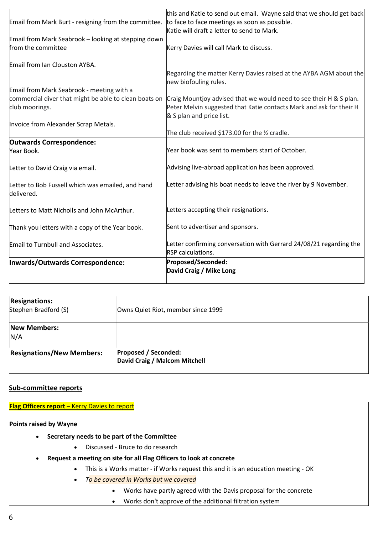|                                                                                                    | this and Katie to send out email. Wayne said that we should get back |
|----------------------------------------------------------------------------------------------------|----------------------------------------------------------------------|
| Email from Mark Burt - resigning from the committee. to face to face meetings as soon as possible. |                                                                      |
|                                                                                                    | Katie will draft a letter to send to Mark.                           |
| Email from Mark Seabrook - looking at stepping down                                                |                                                                      |
| from the committee                                                                                 | Kerry Davies will call Mark to discuss.                              |
|                                                                                                    |                                                                      |
| Email from Ian Clouston AYBA.                                                                      |                                                                      |
|                                                                                                    | Regarding the matter Kerry Davies raised at the AYBA AGM about the   |
|                                                                                                    | new biofouling rules.                                                |
| Email from Mark Seabrook - meeting with a                                                          |                                                                      |
| commercial diver that might be able to clean boats on                                              | Craig Mountjoy advised that we would need to see their H & S plan.   |
| club moorings.                                                                                     | Peter Melvin suggested that Katie contacts Mark and ask for their H  |
|                                                                                                    | & S plan and price list.                                             |
| Invoice from Alexander Scrap Metals.                                                               |                                                                      |
|                                                                                                    | The club received \$173.00 for the 1/2 cradle.                       |
| <b>Outwards Correspondence:</b>                                                                    |                                                                      |
| Year Book.                                                                                         | Year book was sent to members start of October.                      |
| Letter to David Craig via email.                                                                   | Advising live-abroad application has been approved.                  |
| Letter to Bob Fussell which was emailed, and hand<br>delivered.                                    | Letter advising his boat needs to leave the river by 9 November.     |
| Letters to Matt Nicholls and John McArthur.                                                        | Letters accepting their resignations.                                |
| Thank you letters with a copy of the Year book.                                                    | Sent to advertiser and sponsors.                                     |
| Email to Turnbull and Associates.                                                                  | Letter confirming conversation with Gerrard 24/08/21 regarding the   |
|                                                                                                    | RSP calculations.                                                    |
| Inwards/Outwards Correspondence:                                                                   | Proposed/Seconded:                                                   |
|                                                                                                    | David Craig / Mike Long                                              |
|                                                                                                    |                                                                      |

| <b>Resignations:</b><br>Stephen Bradford (S) | Owns Quiet Riot, member since 1999                           |  |
|----------------------------------------------|--------------------------------------------------------------|--|
| <b>New Members:</b><br>N/A                   |                                                              |  |
| <b>Resignations/New Members:</b>             | <b>Proposed / Seconded:</b><br>David Craig / Malcom Mitchell |  |

# Sub-committee reports

Flag Officers report – Kerry Davies to report

Points raised by Wayne

- Secretary needs to be part of the Committee
	- Discussed Bruce to do research
- Request a meeting on site for all Flag Officers to look at concrete
	- This is a Works matter if Works request this and it is an education meeting OK
	- To be covered in Works but we covered
		- Works have partly agreed with the Davis proposal for the concrete
		- Works don't approve of the additional filtration system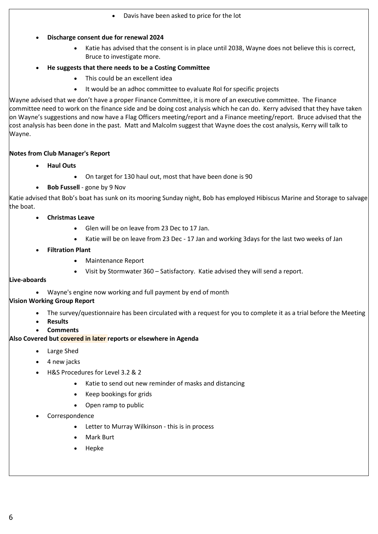- Davis have been asked to price for the lot
- Discharge consent due for renewal 2024
	- Katie has advised that the consent is in place until 2038, Wayne does not believe this is correct, Bruce to investigate more.

# He suggests that there needs to be a Costing Committee

- This could be an excellent idea
- It would be an adhoc committee to evaluate RoI for specific projects

Wayne advised that we don't have a proper Finance Committee, it is more of an executive committee. The Finance committee need to work on the finance side and be doing cost analysis which he can do. Kerry advised that they have taken on Wayne's suggestions and now have a Flag Officers meeting/report and a Finance meeting/report. Bruce advised that the cost analysis has been done in the past. Matt and Malcolm suggest that Wayne does the cost analysis, Kerry will talk to Wayne.

# Notes from Club Manager's Report

- Haul Outs
	- On target for 130 haul out, most that have been done is 90
- Bob Fussell gone by 9 Nov

Katie advised that Bob's boat has sunk on its mooring Sunday night, Bob has employed Hibiscus Marine and Storage to salvage the boat.

- Christmas Leave
	- Glen will be on leave from 23 Dec to 17 Jan.
	- Katie will be on leave from 23 Dec 17 Jan and working 3days for the last two weeks of Jan
- Filtration Plant
	- Maintenance Report
	- Visit by Stormwater 360 Satisfactory. Katie advised they will send a report.

# Live-aboards

Wayne's engine now working and full payment by end of month

# Vision Working Group Report

- The survey/questionnaire has been circulated with a request for you to complete it as a trial before the Meeting
- Results
- **Comments**

# Also Covered but covered in later reports or elsewhere in Agenda

- Large Shed
- 4 new jacks
- H&S Procedures for Level 3.2 & 2
	- Katie to send out new reminder of masks and distancing
	- Keep bookings for grids
	- Open ramp to public
- Correspondence
	- Letter to Murray Wilkinson this is in process
	- Mark Burt
	- Hepke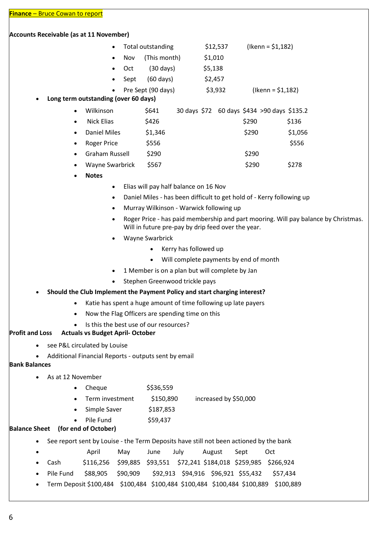#### Accounts Receivable (as at 11 November)

|  |                | • Total outstanding | \$12,537 | $($ lkenn = \$1,182) |
|--|----------------|---------------------|----------|----------------------|
|  |                | • Nov (This month)  | \$1,010  |                      |
|  | $\bullet$ Oct  | $(30 \text{ days})$ | \$5,138  |                      |
|  | $\bullet$ Sept | $(60 \text{ days})$ | \$2,457  |                      |

Pre Sept (90 days) \$3,932 (Ikenn = \$1,182)

# Long term outstanding (over 60 days)

|  | Wilkinson | \$641 |  |  | 30 days \$72 60 days \$434 >90 days \$135.2 |
|--|-----------|-------|--|--|---------------------------------------------|
|--|-----------|-------|--|--|---------------------------------------------|

| <b>Nick Elias</b>     | \$426   | \$290 | \$136   |
|-----------------------|---------|-------|---------|
| Daniel Miles          | \$1,346 | \$290 | \$1,056 |
| Roger Price           | \$556   |       | \$556   |
| <b>Graham Russell</b> | \$290   | \$290 |         |
| Wayne Swarbrick       | \$567   | \$290 | \$278   |

Notes

- Elias will pay half balance on 16 Nov
- Daniel Miles has been difficult to get hold of Kerry following up
- Murray Wilkinson Warwick following up
- Roger Price has paid membership and part mooring. Will pay balance by Christmas. Will in future pre-pay by drip feed over the year.
- Wayne Swarbrick
	- Kerry has followed up
	- Will complete payments by end of month
- 1 Member is on a plan but will complete by Jan
- Stephen Greenwood trickle pays

# Should the Club Implement the Payment Policy and start charging interest?

- Katie has spent a huge amount of time following up late payers
- Now the Flag Officers are spending time on this
- Is this the best use of our resources?

#### Profit and Loss Actuals vs Budget April- October

- see P&L circulated by Louise
- Additional Financial Reports outputs sent by email

#### Bank Balances

- As at 12 November
	- $\bullet$  Cheque  $$536,559$ 
		- Term investment \$150,890 increased by \$50,000
	- Simple Saver \$187,853
	- Pile Fund \$59,437

# Balance Sheet (for end of October)

- See report sent by Louise the Term Deposits have still not been actioned by the bank
- April May June July August Sept Oct
- Cash \$116,256 \$99,885 \$93,551 \$72,241 \$184,018 \$259,985 \$266,924
- Pile Fund \$88,905 \$90,909 \$92,913 \$94,916 \$96,921 \$55,432 \$57,434
- Term Deposit \$100,484 \$100,484 \$100,484 \$100,484 \$100,484 \$100,889 \$100,889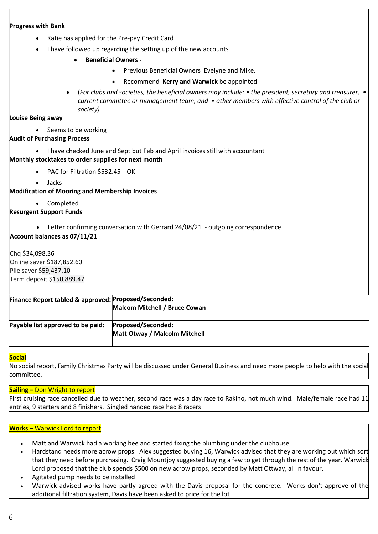# Progress with Bank

- Katie has applied for the Pre-pay Credit Card
- I have followed up regarding the setting up of the new accounts
	- Beneficial Owners
		- Previous Beneficial Owners Evelyne and Mike.
		- Recommend Kerry and Warwick be appointed.
	- $\bullet$  (For clubs and societies, the beneficial owners may include:  $\bullet$  the president, secretary and treasurer,  $\bullet$ current committee or management team, and • other members with effective control of the club or society)

Louise Being away

• Seems to be working

# Audit of Purchasing Process

- I have checked June and Sept but Feb and April invoices still with accountant Monthly stocktakes to order supplies for next month
	- PAC for Filtration \$532.45 OK
	- Jacks

Modification of Mooring and Membership Invoices

Completed

# Resurgent Support Funds

Letter confirming conversation with Gerrard 24/08/21 - outgoing correspondence

Account balances as 07/11/21

Chq \$34,098.36 Online saver \$187,852.60 Pile saver \$59,437.10 Term deposit \$150,889.47

| Finance Report tabled & approved: Proposed/Seconded: |                               |
|------------------------------------------------------|-------------------------------|
|                                                      | Malcom Mitchell / Bruce Cowan |
| Payable list approved to be paid:                    | Proposed/Seconded:            |
|                                                      | Matt Otway / Malcolm Mitchell |

# **Social**

No social report, Family Christmas Party will be discussed under General Business and need more people to help with the social committee.

#### Sailing – Don Wright to report

First cruising race cancelled due to weather, second race was a day race to Rakino, not much wind. Male/female race had 11 entries, 9 starters and 8 finishers. Singled handed race had 8 racers

#### Works – Warwick Lord to report

- Matt and Warwick had a working bee and started fixing the plumbing under the clubhouse.
- Hardstand needs more acrow props. Alex suggested buying 16, Warwick advised that they are working out which sort that they need before purchasing. Craig Mountjoy suggested buying a few to get through the rest of the year. Warwick Lord proposed that the club spends \$500 on new acrow props, seconded by Matt Ottway, all in favour.
- Agitated pump needs to be installed
- Warwick advised works have partly agreed with the Davis proposal for the concrete. Works don't approve of the additional filtration system, Davis have been asked to price for the lot